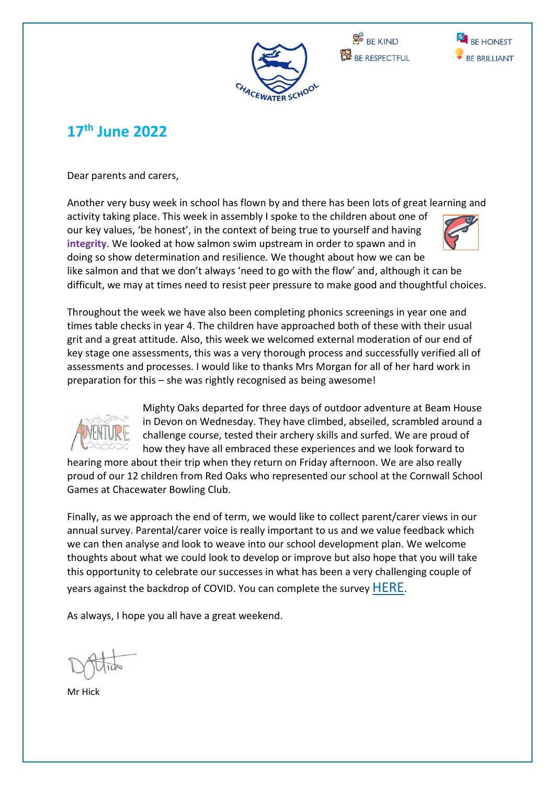





## **17 th June 2022**

Dear parents and carers,

Another very busy week in school has flown by and there has been lots of great learning and

activity taking place. This week in assembly I spoke to the children about one of our key values, 'be honest', in the context of being true to yourself and having **integrity**. We looked at how salmon swim upstream in order to spawn and in doing so show determination and resilience. We thought about how we can be like salmon and that we don't always 'need to go with the flow' and, although it can be difficult, we may at times need to resist peer pressure to make good and thoughtful choices.



Throughout the week we have also been completing phonics screenings in year one and times table checks in year 4. The children have approached both of these with their usual grit and a great attitude. Also, this week we welcomed external moderation of our end of key stage one assessments, this was a very thorough process and successfully verified all of assessments and processes. I would like to thanks Mrs Morgan for all of her hard work in preparation for this – she was rightly recognised as being awesome!



Mighty Oaks departed for three days of outdoor adventure at Beam House in Devon on Wednesday. They have climbed, abseiled, scrambled around a challenge course, tested their archery skills and surfed. We are proud of how they have all embraced these experiences and we look forward to

hearing more about their trip when they return on Friday afternoon. We are also really proud of our 12 children from Red Oaks who represented our school at the Cornwall School Games at Chacewater Bowling Club.

Finally, as we approach the end of term, we would like to collect parent/carer views in our annual survey. Parental/carer voice is really important to us and we value feedback which we can then analyse and look to weave into our school development plan. We welcome thoughts about what we could look to develop or improve but also hope that you will take this opportunity to celebrate our successes in what has been a very challenging couple of years against the backdrop of COVID. You can complete the survey [HERE](https://forms.gle/upUPdmDVXaDgU1qHA).

As always, I hope you all have a great weekend.

Mr Hick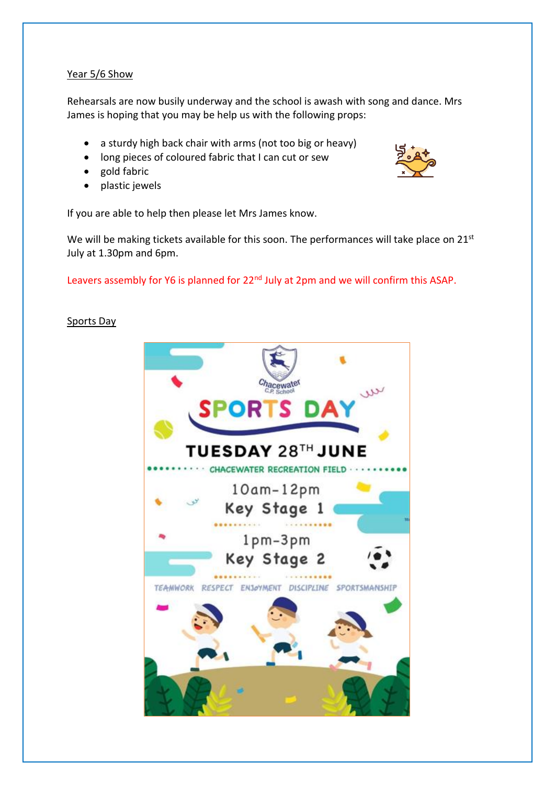#### Year 5/6 Show

Rehearsals are now busily underway and the school is awash with song and dance. Mrs James is hoping that you may be help us with the following props:

- a sturdy high back chair with arms (not too big or heavy)
- long pieces of coloured fabric that I can cut or sew
- gold fabric
- plastic jewels

If you are able to help then please let Mrs James know.

We will be making tickets available for this soon. The performances will take place on 21<sup>st</sup> July at 1.30pm and 6pm.

Leavers assembly for Y6 is planned for 22<sup>nd</sup> July at 2pm and we will confirm this ASAP.

#### Sports Day

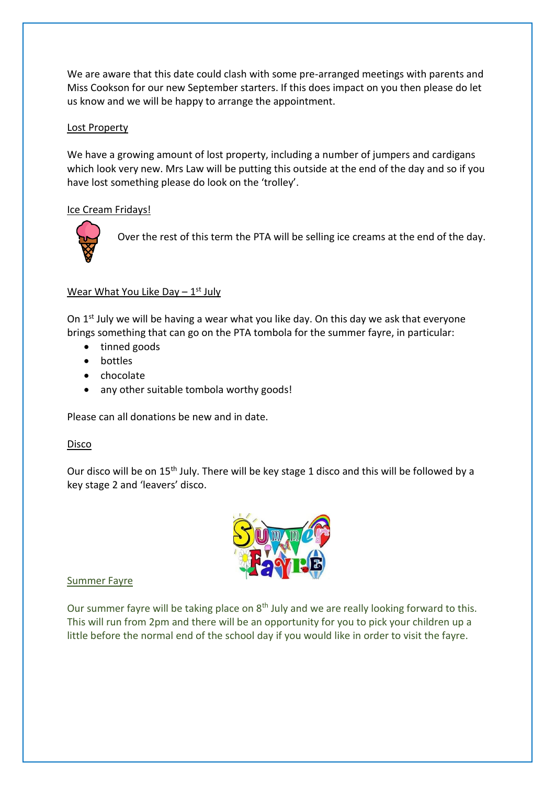We are aware that this date could clash with some pre-arranged meetings with parents and Miss Cookson for our new September starters. If this does impact on you then please do let us know and we will be happy to arrange the appointment.

#### Lost Property

We have a growing amount of lost property, including a number of jumpers and cardigans which look very new. Mrs Law will be putting this outside at the end of the day and so if you have lost something please do look on the 'trolley'.

#### Ice Cream Fridays!



Over the rest of this term the PTA will be selling ice creams at the end of the day.

### Wear What You Like Day - 1st July

On  $1<sup>st</sup>$  July we will be having a wear what you like day. On this day we ask that everyone brings something that can go on the PTA tombola for the summer fayre, in particular:

- tinned goods
- bottles
- chocolate
- any other suitable tombola worthy goods!

Please can all donations be new and in date.

#### Disco

Our disco will be on 15<sup>th</sup> July. There will be key stage 1 disco and this will be followed by a key stage 2 and 'leavers' disco.



#### Summer Fayre

Our summer fayre will be taking place on 8<sup>th</sup> July and we are really looking forward to this. This will run from 2pm and there will be an opportunity for you to pick your children up a little before the normal end of the school day if you would like in order to visit the fayre.